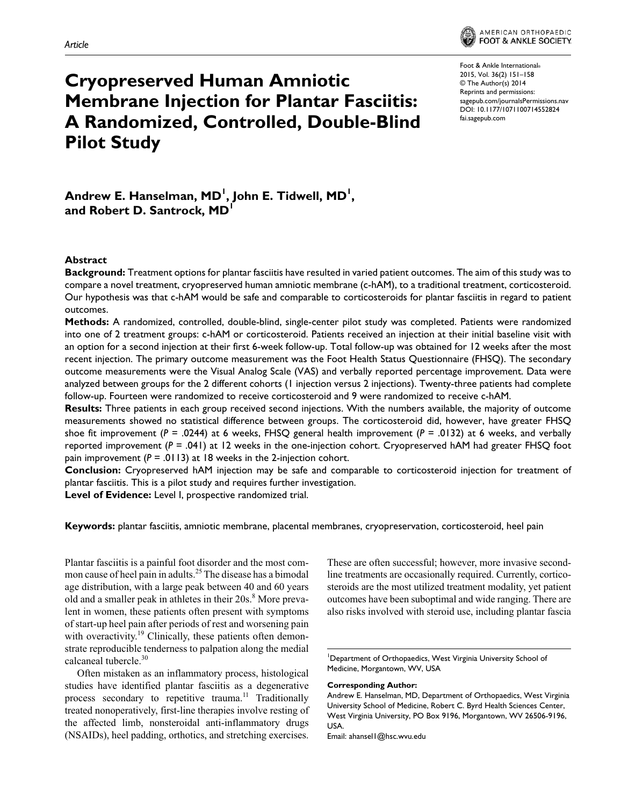

# **Cryopreserved Human Amniotic Membrane Injection for Plantar Fasciitis: A Randomized, Controlled, Double-Blind Pilot Study**

Foot & Ankle International® 2015, Vol. 36(2) 151–158 © The Author(s) 2014 Reprints and permissions: sagepub.com/journalsPermissions.nav DOI: 10.1177/1071100714552824 fai.sagepub.com

 $\boldsymbol{\mathsf{Andrew}}$  E. Hanselman,  $\boldsymbol{\mathsf{MD}}^\mathsf{I}$ , John E. Tidwell,  $\boldsymbol{\mathsf{MD}}^\mathsf{I}$ , and Robert D. Santrock, MD<sup>1</sup>

#### **Abstract**

**Background:** Treatment options for plantar fasciitis have resulted in varied patient outcomes. The aim of this study was to compare a novel treatment, cryopreserved human amniotic membrane (c-hAM), to a traditional treatment, corticosteroid. Our hypothesis was that c-hAM would be safe and comparable to corticosteroids for plantar fasciitis in regard to patient outcomes.

**Methods:** A randomized, controlled, double-blind, single-center pilot study was completed. Patients were randomized into one of 2 treatment groups: c-hAM or corticosteroid. Patients received an injection at their initial baseline visit with an option for a second injection at their first 6-week follow-up. Total follow-up was obtained for 12 weeks after the most recent injection. The primary outcome measurement was the Foot Health Status Questionnaire (FHSQ). The secondary outcome measurements were the Visual Analog Scale (VAS) and verbally reported percentage improvement. Data were analyzed between groups for the 2 different cohorts (1 injection versus 2 injections). Twenty-three patients had complete follow-up. Fourteen were randomized to receive corticosteroid and 9 were randomized to receive c-hAM.

**Results:** Three patients in each group received second injections. With the numbers available, the majority of outcome measurements showed no statistical difference between groups. The corticosteroid did, however, have greater FHSQ shoe fit improvement (*P* = .0244) at 6 weeks, FHSQ general health improvement (*P* = .0132) at 6 weeks, and verbally reported improvement (*P* = .041) at 12 weeks in the one-injection cohort. Cryopreserved hAM had greater FHSQ foot pain improvement  $(P = .0113)$  at 18 weeks in the 2-injection cohort.

**Conclusion:** Cryopreserved hAM injection may be safe and comparable to corticosteroid injection for treatment of plantar fasciitis. This is a pilot study and requires further investigation.

**Level of Evidence:** Level I, prospective randomized trial.

**Keywords:** plantar fasciitis, amniotic membrane, placental membranes, cryopreservation, corticosteroid, heel pain

Plantar fasciitis is a painful foot disorder and the most common cause of heel pain in adults.<sup>25</sup> The disease has a bimodal age distribution, with a large peak between 40 and 60 years old and a smaller peak in athletes in their 20s.<sup>8</sup> More prevalent in women, these patients often present with symptoms of start-up heel pain after periods of rest and worsening pain with overactivity.<sup>19</sup> Clinically, these patients often demonstrate reproducible tenderness to palpation along the medial calcaneal tubercle.<sup>30</sup>

Often mistaken as an inflammatory process, histological studies have identified plantar fasciitis as a degenerative process secondary to repetitive trauma.<sup>11</sup> Traditionally treated nonoperatively, first-line therapies involve resting of the affected limb, nonsteroidal anti-inflammatory drugs (NSAIDs), heel padding, orthotics, and stretching exercises.

These are often successful; however, more invasive secondline treatments are occasionally required. Currently, corticosteroids are the most utilized treatment modality, yet patient outcomes have been suboptimal and wide ranging. There are also risks involved with steroid use, including plantar fascia

<sup>1</sup>Department of Orthopaedics, West Virginia University School of Medicine, Morgantown, WV, USA

**Corresponding Author:**

Andrew E. Hanselman, MD, Department of Orthopaedics, West Virginia University School of Medicine, Robert C. Byrd Health Sciences Center, West Virginia University, PO Box 9196, Morgantown, WV 26506-9196, USA.

Email: ahansel1@hsc.wvu.edu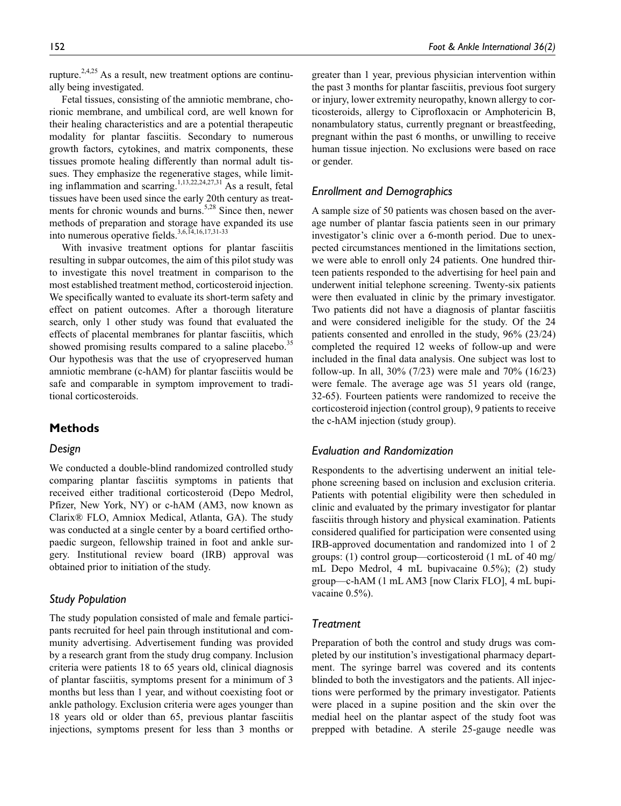rupture.<sup>2,4,25</sup> As a result, new treatment options are continually being investigated.

Fetal tissues, consisting of the amniotic membrane, chorionic membrane, and umbilical cord, are well known for their healing characteristics and are a potential therapeutic modality for plantar fasciitis. Secondary to numerous growth factors, cytokines, and matrix components, these tissues promote healing differently than normal adult tissues. They emphasize the regenerative stages, while limiting inflammation and scarring.<sup>1,13,22,24,27,31</sup> As a result, fetal tissues have been used since the early 20th century as treatments for chronic wounds and burns.<sup>5,28</sup> Since then, newer methods of preparation and storage have expanded its use into numerous operative fields.<sup>3,6,14,16,17,31-33</sup>

With invasive treatment options for plantar fasciitis resulting in subpar outcomes, the aim of this pilot study was to investigate this novel treatment in comparison to the most established treatment method, corticosteroid injection. We specifically wanted to evaluate its short-term safety and effect on patient outcomes. After a thorough literature search, only 1 other study was found that evaluated the effects of placental membranes for plantar fasciitis, which showed promising results compared to a saline placebo.<sup>35</sup> Our hypothesis was that the use of cryopreserved human amniotic membrane (c-hAM) for plantar fasciitis would be safe and comparable in symptom improvement to traditional corticosteroids.

# **Methods**

#### *Design*

We conducted a double-blind randomized controlled study comparing plantar fasciitis symptoms in patients that received either traditional corticosteroid (Depo Medrol, Pfizer, New York, NY) or c-hAM (AM3, now known as Clarix® FLO, Amniox Medical, Atlanta, GA). The study was conducted at a single center by a board certified orthopaedic surgeon, fellowship trained in foot and ankle surgery. Institutional review board (IRB) approval was obtained prior to initiation of the study.

# *Study Population*

The study population consisted of male and female participants recruited for heel pain through institutional and community advertising. Advertisement funding was provided by a research grant from the study drug company. Inclusion criteria were patients 18 to 65 years old, clinical diagnosis of plantar fasciitis, symptoms present for a minimum of 3 months but less than 1 year, and without coexisting foot or ankle pathology. Exclusion criteria were ages younger than 18 years old or older than 65, previous plantar fasciitis injections, symptoms present for less than 3 months or greater than 1 year, previous physician intervention within the past 3 months for plantar fasciitis, previous foot surgery or injury, lower extremity neuropathy, known allergy to corticosteroids, allergy to Ciprofloxacin or Amphotericin B, nonambulatory status, currently pregnant or breastfeeding, pregnant within the past 6 months, or unwilling to receive human tissue injection. No exclusions were based on race or gender.

### *Enrollment and Demographics*

A sample size of 50 patients was chosen based on the average number of plantar fascia patients seen in our primary investigator's clinic over a 6-month period. Due to unexpected circumstances mentioned in the limitations section, we were able to enroll only 24 patients. One hundred thirteen patients responded to the advertising for heel pain and underwent initial telephone screening. Twenty-six patients were then evaluated in clinic by the primary investigator. Two patients did not have a diagnosis of plantar fasciitis and were considered ineligible for the study. Of the 24 patients consented and enrolled in the study, 96% (23/24) completed the required 12 weeks of follow-up and were included in the final data analysis. One subject was lost to follow-up. In all, 30% (7/23) were male and 70% (16/23) were female. The average age was 51 years old (range, 32-65). Fourteen patients were randomized to receive the corticosteroid injection (control group), 9 patients to receive the c-hAM injection (study group).

#### *Evaluation and Randomization*

Respondents to the advertising underwent an initial telephone screening based on inclusion and exclusion criteria. Patients with potential eligibility were then scheduled in clinic and evaluated by the primary investigator for plantar fasciitis through history and physical examination. Patients considered qualified for participation were consented using IRB-approved documentation and randomized into 1 of 2 groups: (1) control group—corticosteroid (1 mL of 40 mg/ mL Depo Medrol, 4 mL bupivacaine 0.5%); (2) study group—c-hAM (1 mL AM3 [now Clarix FLO], 4 mL bupivacaine 0.5%).

#### *Treatment*

Preparation of both the control and study drugs was completed by our institution's investigational pharmacy department. The syringe barrel was covered and its contents blinded to both the investigators and the patients. All injections were performed by the primary investigator. Patients were placed in a supine position and the skin over the medial heel on the plantar aspect of the study foot was prepped with betadine. A sterile 25-gauge needle was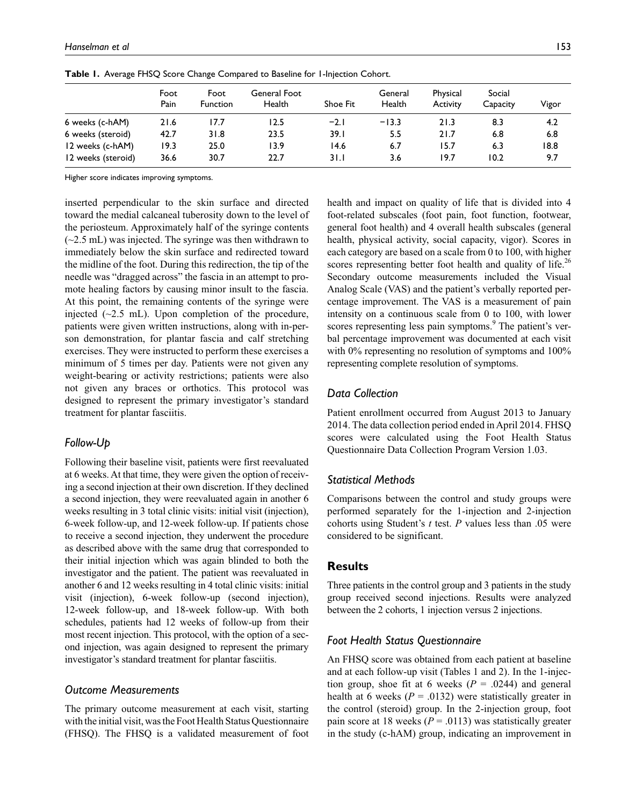|                    | Foot<br>Pain | Foot<br><b>Function</b> | General Foot<br>Health | Shoe Fit | General<br>Health | Physical<br><b>Activity</b> | Social<br>Capacity | Vigor |
|--------------------|--------------|-------------------------|------------------------|----------|-------------------|-----------------------------|--------------------|-------|
| 6 weeks (c-hAM)    | 21.6         | 17.7                    | 12.5                   | $-2.1$   | $-13.3$           | 21.3                        | 8.3                | 4.2   |
| 6 weeks (steroid)  | 42.7         | 31.8                    | 23.5                   | 39.1     | 5.5               | 21.7                        | 6.8                | 6.8   |
| 12 weeks (c-hAM)   | 19.3         | 25.0                    | 13.9                   | 14.6     | 6.7               | 15.7                        | 6.3                | 18.8  |
| 12 weeks (steroid) | 36.6         | 30.7                    | 22.7                   | 3 I . I  | 3.6               | 19.7                        | 10.2               | 9.7   |

**Table 1.** Average FHSQ Score Change Compared to Baseline for 1-Injection Cohort.

Higher score indicates improving symptoms.

inserted perpendicular to the skin surface and directed toward the medial calcaneal tuberosity down to the level of the periosteum. Approximately half of the syringe contents  $(-2.5$  mL) was injected. The syringe was then withdrawn to immediately below the skin surface and redirected toward the midline of the foot. During this redirection, the tip of the needle was "dragged across" the fascia in an attempt to promote healing factors by causing minor insult to the fascia. At this point, the remaining contents of the syringe were injected  $(\sim 2.5 \text{ mL})$ . Upon completion of the procedure, patients were given written instructions, along with in-person demonstration, for plantar fascia and calf stretching exercises. They were instructed to perform these exercises a minimum of 5 times per day. Patients were not given any weight-bearing or activity restrictions; patients were also not given any braces or orthotics. This protocol was designed to represent the primary investigator's standard treatment for plantar fasciitis.

### *Follow-Up*

Following their baseline visit, patients were first reevaluated at 6 weeks. At that time, they were given the option of receiving a second injection at their own discretion. If they declined a second injection, they were reevaluated again in another 6 weeks resulting in 3 total clinic visits: initial visit (injection), 6-week follow-up, and 12-week follow-up. If patients chose to receive a second injection, they underwent the procedure as described above with the same drug that corresponded to their initial injection which was again blinded to both the investigator and the patient. The patient was reevaluated in another 6 and 12 weeks resulting in 4 total clinic visits: initial visit (injection), 6-week follow-up (second injection), 12-week follow-up, and 18-week follow-up. With both schedules, patients had 12 weeks of follow-up from their most recent injection. This protocol, with the option of a second injection, was again designed to represent the primary investigator's standard treatment for plantar fasciitis.

#### *Outcome Measurements*

The primary outcome measurement at each visit, starting with the initial visit, was the Foot Health Status Questionnaire (FHSQ). The FHSQ is a validated measurement of foot

health and impact on quality of life that is divided into 4 foot-related subscales (foot pain, foot function, footwear, general foot health) and 4 overall health subscales (general health, physical activity, social capacity, vigor). Scores in each category are based on a scale from 0 to 100, with higher scores representing better foot health and quality of life.<sup>26</sup> Secondary outcome measurements included the Visual Analog Scale (VAS) and the patient's verbally reported percentage improvement. The VAS is a measurement of pain intensity on a continuous scale from 0 to 100, with lower scores representing less pain symptoms.<sup>9</sup> The patient's verbal percentage improvement was documented at each visit with 0% representing no resolution of symptoms and 100% representing complete resolution of symptoms.

# *Data Collection*

Patient enrollment occurred from August 2013 to January 2014. The data collection period ended in April 2014. FHSQ scores were calculated using the Foot Health Status Questionnaire Data Collection Program Version 1.03.

#### *Statistical Methods*

Comparisons between the control and study groups were performed separately for the 1-injection and 2-injection cohorts using Student's *t* test. *P* values less than .05 were considered to be significant.

## **Results**

Three patients in the control group and 3 patients in the study group received second injections. Results were analyzed between the 2 cohorts, 1 injection versus 2 injections.

#### *Foot Health Status Questionnaire*

An FHSQ score was obtained from each patient at baseline and at each follow-up visit (Tables 1 and 2). In the 1-injection group, shoe fit at 6 weeks  $(P = .0244)$  and general health at 6 weeks  $(P = .0132)$  were statistically greater in the control (steroid) group. In the 2-injection group, foot pain score at 18 weeks ( $P = .0113$ ) was statistically greater in the study (c-hAM) group, indicating an improvement in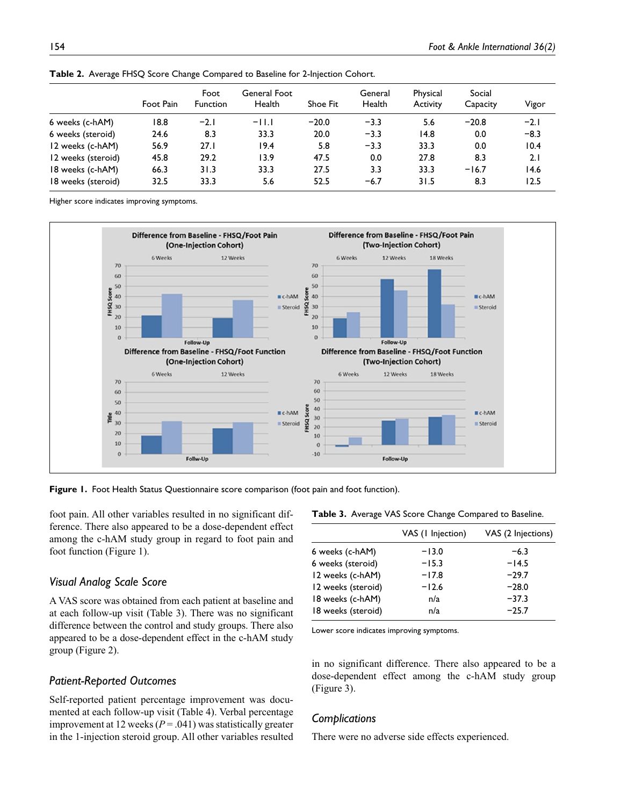|                    | Foot Pain | Foot<br><b>Function</b> | General Foot<br>Health | Shoe Fit | General<br>Health | Physical<br>Activity | Social<br>Capacity | Vigor  |
|--------------------|-----------|-------------------------|------------------------|----------|-------------------|----------------------|--------------------|--------|
| 6 weeks (c-hAM)    | 18.8      | $-2.1$                  | $-11.1$                | $-20.0$  | $-3.3$            | 5.6                  | $-20.8$            | $-2.1$ |
| 6 weeks (steroid)  | 24.6      | 8.3                     | 33.3                   | 20.0     | $-3.3$            | 14.8                 | 0.0                | $-8.3$ |
| 12 weeks (c-hAM)   | 56.9      | 27.1                    | 19.4                   | 5.8      | $-3.3$            | 33.3                 | 0.0                | 10.4   |
| 12 weeks (steroid) | 45.8      | 29.2                    | 13.9                   | 47.5     | 0.0               | 27.8                 | 8.3                | 2.1    |
| 18 weeks (c-hAM)   | 66.3      | 31.3                    | 33.3                   | 27.5     | 3.3               | 33.3                 | $-16.7$            | 14.6   |
| 18 weeks (steroid) | 32.5      | 33.3                    | 5.6                    | 52.5     | $-6.7$            | 31.5                 | 8.3                | 12.5   |

**Table 2.** Average FHSQ Score Change Compared to Baseline for 2-Injection Cohort.

Higher score indicates improving symptoms.



**Figure 1.** Foot Health Status Questionnaire score comparison (foot pain and foot function).

foot pain. All other variables resulted in no significant difference. There also appeared to be a dose-dependent effect among the c-hAM study group in regard to foot pain and foot function (Figure 1).

## *Visual Analog Scale Score*

A VAS score was obtained from each patient at baseline and at each follow-up visit (Table 3). There was no significant difference between the control and study groups. There also appeared to be a dose-dependent effect in the c-hAM study group (Figure 2).

# *Patient-Reported Outcomes*

Self-reported patient percentage improvement was documented at each follow-up visit (Table 4). Verbal percentage improvement at 12 weeks  $(P = .041)$  was statistically greater in the 1-injection steroid group. All other variables resulted

|  | Table 3. Average VAS Score Change Compared to Baseline. |  |  |
|--|---------------------------------------------------------|--|--|
|  |                                                         |  |  |

|                    | VAS (1 Injection) | VAS (2 Injections) |
|--------------------|-------------------|--------------------|
| 6 weeks (c-hAM)    | $-13.0$           | $-6.3$             |
| 6 weeks (steroid)  | $-15.3$           | $-14.5$            |
| 12 weeks (c-hAM)   | $-17.8$           | $-29.7$            |
| 12 weeks (steroid) | $-12.6$           | $-28.0$            |
| 18 weeks (c-hAM)   | n/a               | $-37.3$            |
| 18 weeks (steroid) | n/a               | $-25.7$            |
|                    |                   |                    |

Lower score indicates improving symptoms.

in no significant difference. There also appeared to be a dose-dependent effect among the c-hAM study group (Figure 3).

## *Complications*

There were no adverse side effects experienced.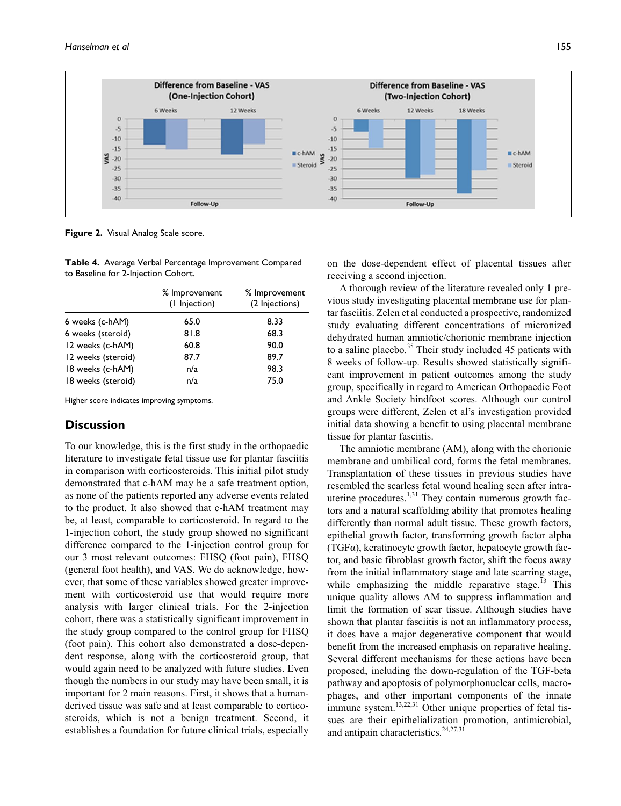

**Figure 2.** Visual Analog Scale score.

**Table 4.** Average Verbal Percentage Improvement Compared to Baseline for 2-Injection Cohort.

|                    | % Improvement<br>(1 Injection) | % Improvement<br>(2 Injections) |
|--------------------|--------------------------------|---------------------------------|
| 6 weeks (c-hAM)    | 65.0                           | 8.33                            |
| 6 weeks (steroid)  | 81.8                           | 68.3                            |
| 12 weeks (c-hAM)   | 60.8                           | 90.0                            |
| 12 weeks (steroid) | 87.7                           | 89.7                            |
| 18 weeks (c-hAM)   | n/a                            | 98.3                            |
| 18 weeks (steroid) | n/a                            | 75.0                            |

Higher score indicates improving symptoms.

## **Discussion**

To our knowledge, this is the first study in the orthopaedic literature to investigate fetal tissue use for plantar fasciitis in comparison with corticosteroids. This initial pilot study demonstrated that c-hAM may be a safe treatment option, as none of the patients reported any adverse events related to the product. It also showed that c-hAM treatment may be, at least, comparable to corticosteroid. In regard to the 1-injection cohort, the study group showed no significant difference compared to the 1-injection control group for our 3 most relevant outcomes: FHSQ (foot pain), FHSQ (general foot health), and VAS. We do acknowledge, however, that some of these variables showed greater improvement with corticosteroid use that would require more analysis with larger clinical trials. For the 2-injection cohort, there was a statistically significant improvement in the study group compared to the control group for FHSQ (foot pain). This cohort also demonstrated a dose-dependent response, along with the corticosteroid group, that would again need to be analyzed with future studies. Even though the numbers in our study may have been small, it is important for 2 main reasons. First, it shows that a humanderived tissue was safe and at least comparable to corticosteroids, which is not a benign treatment. Second, it establishes a foundation for future clinical trials, especially

on the dose-dependent effect of placental tissues after receiving a second injection.

A thorough review of the literature revealed only 1 previous study investigating placental membrane use for plantar fasciitis. Zelen et al conducted a prospective, randomized study evaluating different concentrations of micronized dehydrated human amniotic/chorionic membrane injection to a saline placebo.<sup>35</sup> Their study included 45 patients with 8 weeks of follow-up. Results showed statistically significant improvement in patient outcomes among the study group, specifically in regard to American Orthopaedic Foot and Ankle Society hindfoot scores. Although our control groups were different, Zelen et al's investigation provided initial data showing a benefit to using placental membrane tissue for plantar fasciitis.

The amniotic membrane (AM), along with the chorionic membrane and umbilical cord, forms the fetal membranes. Transplantation of these tissues in previous studies have resembled the scarless fetal wound healing seen after intrauterine procedures. $1,31$  They contain numerous growth factors and a natural scaffolding ability that promotes healing differently than normal adult tissue. These growth factors, epithelial growth factor, transforming growth factor alpha (TGFα), keratinocyte growth factor, hepatocyte growth factor, and basic fibroblast growth factor, shift the focus away from the initial inflammatory stage and late scarring stage, while emphasizing the middle reparative stage.<sup>13</sup> This unique quality allows AM to suppress inflammation and limit the formation of scar tissue. Although studies have shown that plantar fasciitis is not an inflammatory process, it does have a major degenerative component that would benefit from the increased emphasis on reparative healing. Several different mechanisms for these actions have been proposed, including the down-regulation of the TGF-beta pathway and apoptosis of polymorphonuclear cells, macrophages, and other important components of the innate immune system.<sup>13,22,31</sup> Other unique properties of fetal tissues are their epithelialization promotion, antimicrobial, and antipain characteristics.<sup>24,27,31</sup>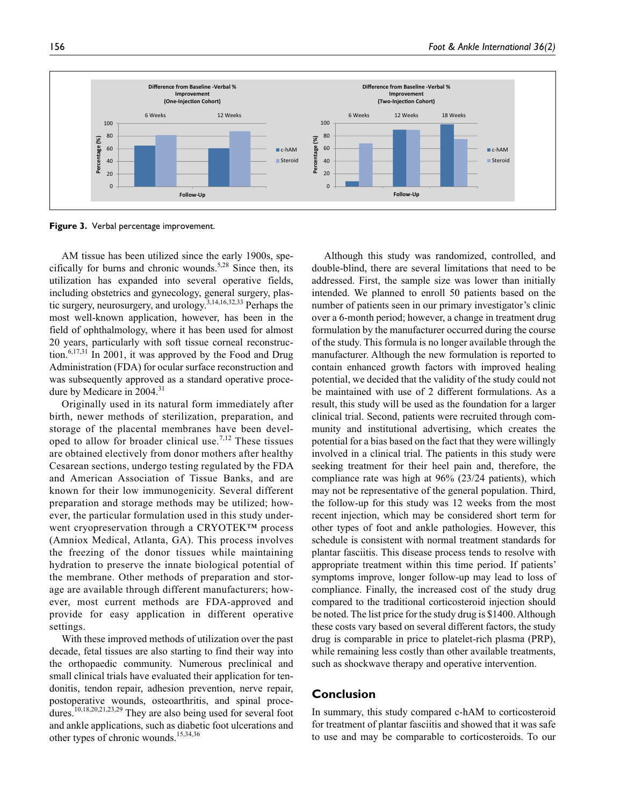

**Figure 3.** Verbal percentage improvement.

AM tissue has been utilized since the early 1900s, specifically for burns and chronic wounds.<sup>5,28</sup> Since then, its utilization has expanded into several operative fields, including obstetrics and gynecology, general surgery, plastic surgery, neurosurgery, and urology.3,14,16,32,33 Perhaps the most well-known application, however, has been in the field of ophthalmology, where it has been used for almost 20 years, particularly with soft tissue corneal reconstruction.<sup>6,17,31</sup> In 2001, it was approved by the Food and Drug Administration (FDA) for ocular surface reconstruction and was subsequently approved as a standard operative procedure by Medicare in 2004.<sup>31</sup>

Originally used in its natural form immediately after birth, newer methods of sterilization, preparation, and storage of the placental membranes have been developed to allow for broader clinical use.<sup>7,12</sup> These tissues are obtained electively from donor mothers after healthy Cesarean sections, undergo testing regulated by the FDA and American Association of Tissue Banks, and are known for their low immunogenicity. Several different preparation and storage methods may be utilized; however, the particular formulation used in this study underwent cryopreservation through a CRYOTEK™ process (Amniox Medical, Atlanta, GA). This process involves the freezing of the donor tissues while maintaining hydration to preserve the innate biological potential of the membrane. Other methods of preparation and storage are available through different manufacturers; however, most current methods are FDA-approved and provide for easy application in different operative settings.

With these improved methods of utilization over the past decade, fetal tissues are also starting to find their way into the orthopaedic community. Numerous preclinical and small clinical trials have evaluated their application for tendonitis, tendon repair, adhesion prevention, nerve repair, postoperative wounds, osteoarthritis, and spinal procedures.<sup>10,18,20,21,23,29</sup> They are also being used for several foot and ankle applications, such as diabetic foot ulcerations and other types of chronic wounds.<sup>15,34,36</sup>

Although this study was randomized, controlled, and double-blind, there are several limitations that need to be addressed. First, the sample size was lower than initially intended. We planned to enroll 50 patients based on the number of patients seen in our primary investigator's clinic over a 6-month period; however, a change in treatment drug formulation by the manufacturer occurred during the course of the study. This formula is no longer available through the manufacturer. Although the new formulation is reported to contain enhanced growth factors with improved healing potential, we decided that the validity of the study could not be maintained with use of 2 different formulations. As a result, this study will be used as the foundation for a larger clinical trial. Second, patients were recruited through community and institutional advertising, which creates the potential for a bias based on the fact that they were willingly involved in a clinical trial. The patients in this study were seeking treatment for their heel pain and, therefore, the compliance rate was high at 96% (23/24 patients), which may not be representative of the general population. Third, the follow-up for this study was 12 weeks from the most recent injection, which may be considered short term for other types of foot and ankle pathologies. However, this schedule is consistent with normal treatment standards for plantar fasciitis. This disease process tends to resolve with appropriate treatment within this time period. If patients' symptoms improve, longer follow-up may lead to loss of compliance. Finally, the increased cost of the study drug compared to the traditional corticosteroid injection should be noted. The list price for the study drug is \$1400. Although these costs vary based on several different factors, the study drug is comparable in price to platelet-rich plasma (PRP), while remaining less costly than other available treatments, such as shockwave therapy and operative intervention.

# **Conclusion**

In summary, this study compared c-hAM to corticosteroid for treatment of plantar fasciitis and showed that it was safe to use and may be comparable to corticosteroids. To our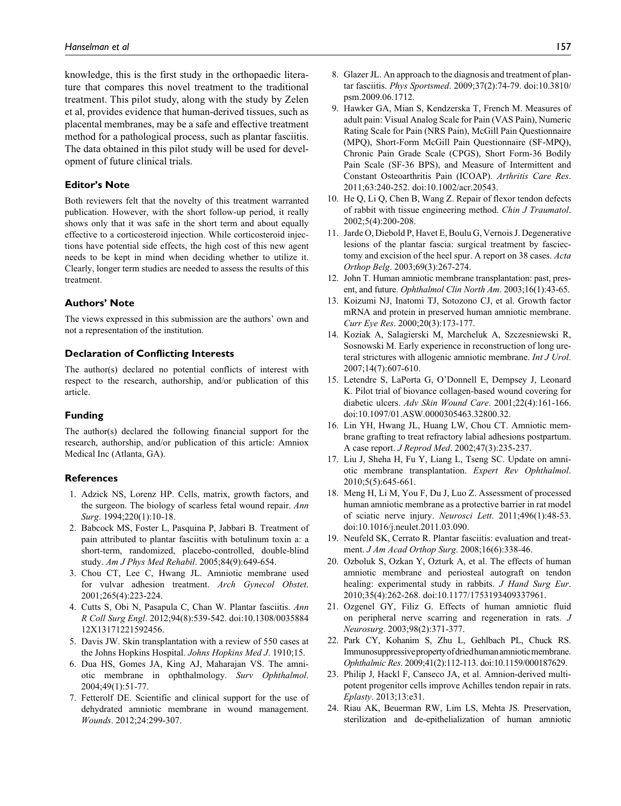knowledge, this is the first study in the orthopaedic literature that compares this novel treatment to the traditional treatment. This pilot study, along with the study by Zelen et al, provides evidence that human-derived tissues, such as placental membranes, may be a safe and effective treatment method for a pathological process, such as plantar fasciitis. The data obtained in this pilot study will be used for development of future clinical trials.

#### **Editor's Note**

Both reviewers felt that the novelty of this treatment warranted publication. However, with the short follow-up period, it really shows only that it was safe in the short term and about equally effective to a corticosteroid injection. While corticosteroid injections have potential side effects, the high cost of this new agent needs to be kept in mind when deciding whether to utilize it. Clearly, longer term studies are needed to assess the results of this treatment.

#### **Authors' Note**

The views expressed in this submission are the authors' own and not a representation of the institution.

#### **Declaration of Conflicting Interests**

The author(s) declared no potential conflicts of interest with respect to the research, authorship, and/or publication of this article.

#### **Funding**

The author(s) declared the following financial support for the research, authorship, and/or publication of this article: Amniox Medical Inc (Atlanta, GA).

#### **References**

- 1. Adzick NS, Lorenz HP. Cells, matrix, growth factors, and the surgeon. The biology of scarless fetal wound repair. *Ann Surg*. 1994;220(1):10-18.
- 2. Babcock MS, Foster L, Pasquina P, Jabbari B. Treatment of pain attributed to plantar fasciitis with botulinum toxin a: a short-term, randomized, placebo-controlled, double-blind study. *Am J Phys Med Rehabil*. 2005;84(9):649-654.
- 3. Chou CT, Lee C, Hwang JL. Amniotic membrane used for vulvar adhesion treatment. *Arch Gynecol Obstet*. 2001;265(4):223-224.
- 4. Cutts S, Obi N, Pasapula C, Chan W. Plantar fasciitis. *Ann R Coll Surg Engl*. 2012;94(8):539-542. doi:10.1308/0035884 12X13171221592456.
- 5. Davis JW. Skin transplantation with a review of 550 cases at the Johns Hopkins Hospital. *Johns Hopkins Med J*. 1910;15.
- 6. Dua HS, Gomes JA, King AJ, Maharajan VS. The amniotic membrane in ophthalmology. *Surv Ophthalmol*. 2004;49(1):51-77.
- 7. Fetterolf DE. Scientific and clinical support for the use of dehydrated amniotic membrane in wound management. *Wounds*. 2012;24:299-307.
- 8. Glazer JL. An approach to the diagnosis and treatment of plantar fasciitis. *Phys Sportsmed*. 2009;37(2):74-79. doi:10.3810/ psm.2009.06.1712.
- 9. Hawker GA, Mian S, Kendzerska T, French M. Measures of adult pain: Visual Analog Scale for Pain (VAS Pain), Numeric Rating Scale for Pain (NRS Pain), McGill Pain Questionnaire (MPQ), Short-Form McGill Pain Questionnaire (SF-MPQ), Chronic Pain Grade Scale (CPGS), Short Form-36 Bodily Pain Scale (SF-36 BPS), and Measure of Intermittent and Constant Osteoarthritis Pain (ICOAP). *Arthritis Care Res*. 2011;63:240-252. doi:10.1002/acr.20543.
- 10. He Q, Li Q, Chen B, Wang Z. Repair of flexor tendon defects of rabbit with tissue engineering method. *Chin J Traumatol*. 2002;5(4):200-208.
- 11. Jarde O, Diebold P, Havet E, Boulu G, Vernois J. Degenerative lesions of the plantar fascia: surgical treatment by fasciectomy and excision of the heel spur. A report on 38 cases. *Acta Orthop Belg*. 2003;69(3):267-274.
- 12. John T. Human amniotic membrane transplantation: past, present, and future. *Ophthalmol Clin North Am*. 2003;16(1):43-65.
- 13. Koizumi NJ, Inatomi TJ, Sotozono CJ, et al. Growth factor mRNA and protein in preserved human amniotic membrane. *Curr Eye Res*. 2000;20(3):173-177.
- 14. Koziak A, Salagierski M, Marcheluk A, Szczesniewski R, Sosnowski M. Early experience in reconstruction of long ureteral strictures with allogenic amniotic membrane. *Int J Urol*. 2007;14(7):607-610.
- 15. Letendre S, LaPorta G, O'Donnell E, Dempsey J, Leonard K. Pilot trial of biovance collagen-based wound covering for diabetic ulcers. *Adv Skin Wound Care*. 2001;22(4):161-166. doi:10.1097/01.ASW.0000305463.32800.32.
- 16. Lin YH, Hwang JL, Huang LW, Chou CT. Amniotic membrane grafting to treat refractory labial adhesions postpartum. A case report. *J Reprod Med*. 2002;47(3):235-237.
- 17. Liu J, Sheha H, Fu Y, Liang L, Tseng SC. Update on amniotic membrane transplantation. *Expert Rev Ophthalmol*. 2010;5(5):645-661.
- 18. Meng H, Li M, You F, Du J, Luo Z. Assessment of processed human amniotic membrane as a protective barrier in rat model of sciatic nerve injury. *Neurosci Lett*. 2011;496(1):48-53. doi:10.1016/j.neulet.2011.03.090.
- 19. Neufeld SK, Cerrato R. Plantar fasciitis: evaluation and treatment. *J Am Acad Orthop Surg*. 2008;16(6):338-46.
- 20. Ozboluk S, Ozkan Y, Ozturk A, et al. The effects of human amniotic membrane and periosteal autograft on tendon healing: experimental study in rabbits. *J Hand Surg Eur*. 2010;35(4):262-268. doi:10.1177/1753193409337961.
- 21. Ozgenel GY, Filiz G. Effects of human amniotic fluid on peripheral nerve scarring and regeneration in rats. *J Neurosurg*. 2003;98(2):371-377.
- 22. Park CY, Kohanim S, Zhu L, Gehlbach PL, Chuck RS. Immunosuppressive property of dried human amniotic membrane. *Ophthalmic Res*. 2009;41(2):112-113. doi:10.1159/000187629.
- 23. Philip J, Hackl F, Canseco JA, et al. Amnion-derived multipotent progenitor cells improve Achilles tendon repair in rats. *Eplasty*. 2013;13:e31.
- 24. Riau AK, Beuerman RW, Lim LS, Mehta JS. Preservation, sterilization and de-epithelialization of human amniotic